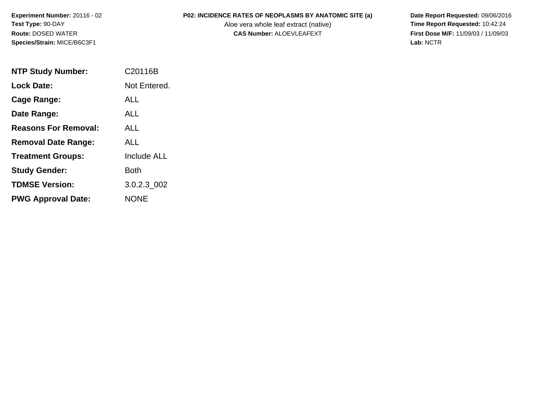Aloe vera whole leaf extract (native)<br>**CAS Number:** ALOEVLEAFEXT

**P02: INCIDENCE RATES OF NEOPLASMS BY ANATOMIC SITE (a)** Date Report Requested: 09/06/2016<br>Aloe vera whole leaf extract (native) **Time Report Requested:** 10:42:24 **First Dose M/F:** 11/09/03 / 11/09/03<br>Lab: NCTR **Lab:** NCTR

| <b>NTP Study Number:</b>    | C20116B      |
|-----------------------------|--------------|
| Lock Date:                  | Not Entered. |
| <b>Cage Range:</b>          | <b>ALL</b>   |
| Date Range:                 | ALL          |
| <b>Reasons For Removal:</b> | ALL          |
| <b>Removal Date Range:</b>  | AI I         |
| <b>Treatment Groups:</b>    | Include ALL  |
| <b>Study Gender:</b>        | Both         |
| <b>TDMSE Version:</b>       | 3.0.2.3 002  |
| <b>PWG Approval Date:</b>   | NONE         |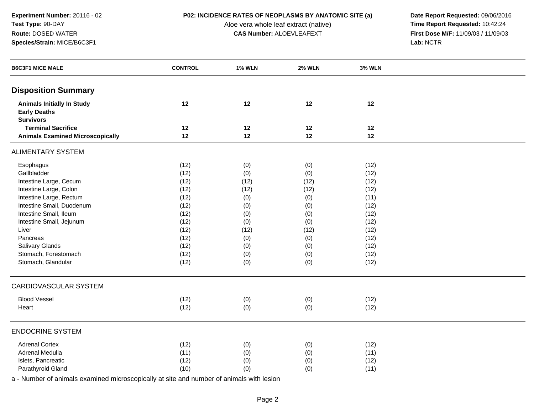Aloe vera whole leaf extract (native)<br>**CAS Number:** ALOEVLEAFEXT

**P02: INCIDENCE RATES OF NEOPLASMS BY ANATOMIC SITE (a)** Date Report Requested: 09/06/2016<br>Aloe vera whole leaf extract (native) **Time Report Requested:** 10:42:24 **First Dose M/F:** 11/09/03 / 11/09/03<br>Lab: NCTR **Lab:** NCTR

| <b>Disposition Summary</b><br>12<br>12<br>12<br><b>Animals Initially In Study</b><br>12<br><b>Early Deaths</b><br><b>Survivors</b><br><b>Terminal Sacrifice</b><br>12<br>12<br>12<br>12<br><b>Animals Examined Microscopically</b><br>12<br>12<br>12<br>12<br><b>ALIMENTARY SYSTEM</b><br>Esophagus<br>(12)<br>(0)<br>(0)<br>(12) |
|-----------------------------------------------------------------------------------------------------------------------------------------------------------------------------------------------------------------------------------------------------------------------------------------------------------------------------------|
|                                                                                                                                                                                                                                                                                                                                   |
|                                                                                                                                                                                                                                                                                                                                   |
|                                                                                                                                                                                                                                                                                                                                   |
|                                                                                                                                                                                                                                                                                                                                   |
|                                                                                                                                                                                                                                                                                                                                   |
|                                                                                                                                                                                                                                                                                                                                   |
| Gallbladder<br>(12)<br>(0)<br>(12)<br>(0)                                                                                                                                                                                                                                                                                         |
| Intestine Large, Cecum<br>(12)<br>(12)<br>(12)<br>(12)                                                                                                                                                                                                                                                                            |
| Intestine Large, Colon<br>(12)<br>(12)<br>(12)<br>(12)                                                                                                                                                                                                                                                                            |
| Intestine Large, Rectum<br>(12)<br>(0)<br>(0)<br>(11)                                                                                                                                                                                                                                                                             |
| Intestine Small, Duodenum<br>(12)<br>(0)<br>(0)<br>(12)                                                                                                                                                                                                                                                                           |
| Intestine Small, Ileum<br>(12)<br>(0)<br>(0)<br>(12)                                                                                                                                                                                                                                                                              |
| Intestine Small, Jejunum<br>(12)<br>(0)<br>(12)<br>(0)                                                                                                                                                                                                                                                                            |
| (12)<br>(12)<br>Liver<br>(12)<br>(12)                                                                                                                                                                                                                                                                                             |
| Pancreas<br>(12)<br>(0)<br>(12)<br>(0)                                                                                                                                                                                                                                                                                            |
| Salivary Glands<br>(12)<br>(0)<br>(12)<br>(0)                                                                                                                                                                                                                                                                                     |
| Stomach, Forestomach<br>(12)<br>(0)<br>(12)<br>(0)                                                                                                                                                                                                                                                                                |
| Stomach, Glandular<br>(12)<br>(0)<br>(0)<br>(12)                                                                                                                                                                                                                                                                                  |
| <b>CARDIOVASCULAR SYSTEM</b>                                                                                                                                                                                                                                                                                                      |
| <b>Blood Vessel</b><br>(0)<br>(12)<br>(0)<br>(12)                                                                                                                                                                                                                                                                                 |
| (12)<br>Heart<br>(0)<br>(0)<br>(12)                                                                                                                                                                                                                                                                                               |
| <b>ENDOCRINE SYSTEM</b>                                                                                                                                                                                                                                                                                                           |
| <b>Adrenal Cortex</b><br>(12)<br>(0)<br>(0)<br>(12)                                                                                                                                                                                                                                                                               |
| Adrenal Medulla<br>(11)<br>(0)<br>(0)<br>(11)                                                                                                                                                                                                                                                                                     |
| Islets, Pancreatic<br>(12)<br>(12)<br>(0)<br>(0)                                                                                                                                                                                                                                                                                  |
| Parathyroid Gland<br>(10)<br>(0)<br>(0)<br>(11)                                                                                                                                                                                                                                                                                   |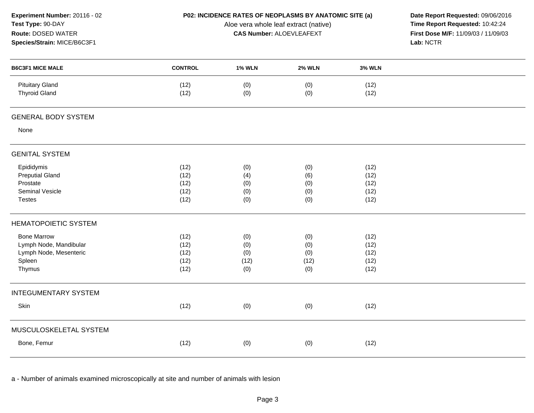| Experiment Number: 20116 - 02<br>Test Type: 90-DAY<br>Route: DOSED WATER<br>Species/Strain: MICE/B6C3F1 |                |               | P02: INCIDENCE RATES OF NEOPLASMS BY ANATOMIC SITE (a)<br>Date Report Requested: 09/06/2016<br>Time Report Requested: 10:42:24<br>Aloe vera whole leaf extract (native)<br><b>CAS Number: ALOEVLEAFEXT</b><br>First Dose M/F: 11/09/03 / 11/09/03<br>Lab: NCTR |               |  |  |  |
|---------------------------------------------------------------------------------------------------------|----------------|---------------|----------------------------------------------------------------------------------------------------------------------------------------------------------------------------------------------------------------------------------------------------------------|---------------|--|--|--|
| <b>B6C3F1 MICE MALE</b>                                                                                 | <b>CONTROL</b> | <b>1% WLN</b> | <b>2% WLN</b>                                                                                                                                                                                                                                                  | <b>3% WLN</b> |  |  |  |
| <b>Pituitary Gland</b><br><b>Thyroid Gland</b>                                                          | (12)<br>(12)   | (0)<br>(0)    | (0)<br>(0)                                                                                                                                                                                                                                                     | (12)<br>(12)  |  |  |  |
| <b>GENERAL BODY SYSTEM</b>                                                                              |                |               |                                                                                                                                                                                                                                                                |               |  |  |  |
| None                                                                                                    |                |               |                                                                                                                                                                                                                                                                |               |  |  |  |
| <b>GENITAL SYSTEM</b>                                                                                   |                |               |                                                                                                                                                                                                                                                                |               |  |  |  |
| Epididymis                                                                                              | (12)           | (0)           | (0)                                                                                                                                                                                                                                                            | (12)          |  |  |  |
| <b>Preputial Gland</b>                                                                                  | (12)           | (4)           | (6)                                                                                                                                                                                                                                                            | (12)          |  |  |  |
| Prostate                                                                                                | (12)           | (0)           | (0)                                                                                                                                                                                                                                                            | (12)          |  |  |  |
| Seminal Vesicle                                                                                         | (12)           | (0)           | (0)                                                                                                                                                                                                                                                            | (12)          |  |  |  |
| <b>Testes</b>                                                                                           | (12)           | (0)           | (0)                                                                                                                                                                                                                                                            | (12)          |  |  |  |
| <b>HEMATOPOIETIC SYSTEM</b>                                                                             |                |               |                                                                                                                                                                                                                                                                |               |  |  |  |
| <b>Bone Marrow</b>                                                                                      | (12)           | (0)           | (0)                                                                                                                                                                                                                                                            | (12)          |  |  |  |
| Lymph Node, Mandibular                                                                                  | (12)           | (0)           | (0)                                                                                                                                                                                                                                                            | (12)          |  |  |  |
| Lymph Node, Mesenteric                                                                                  | (12)           | (0)           | (0)                                                                                                                                                                                                                                                            | (12)          |  |  |  |
| Spleen                                                                                                  | (12)           | (12)          | (12)                                                                                                                                                                                                                                                           | (12)          |  |  |  |
| Thymus                                                                                                  | (12)           | (0)           | (0)                                                                                                                                                                                                                                                            | (12)          |  |  |  |
| <b>INTEGUMENTARY SYSTEM</b>                                                                             |                |               |                                                                                                                                                                                                                                                                |               |  |  |  |
| Skin                                                                                                    | (12)           | (0)           | (0)                                                                                                                                                                                                                                                            | (12)          |  |  |  |
| MUSCULOSKELETAL SYSTEM                                                                                  |                |               |                                                                                                                                                                                                                                                                |               |  |  |  |
| Bone, Femur                                                                                             | (12)           | (0)           | (0)                                                                                                                                                                                                                                                            | (12)          |  |  |  |
|                                                                                                         |                |               |                                                                                                                                                                                                                                                                |               |  |  |  |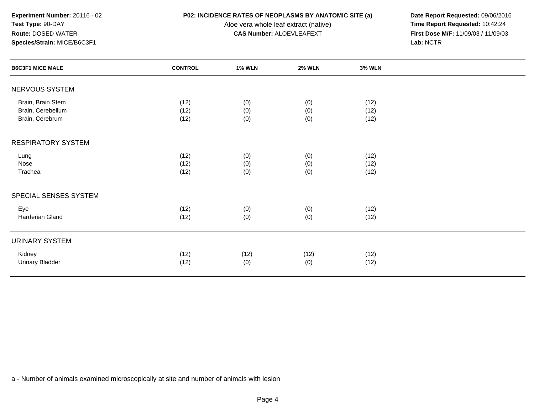Aloe vera whole leaf extract (native)<br>**CAS Number:** ALOEVLEAFEXT

**P02: INCIDENCE RATES OF NEOPLASMS BY ANATOMIC SITE (a)** Date Report Requested: 09/06/2016<br>Aloe vera whole leaf extract (native) **Time Report Requested:** 10:42:24 **First Dose M/F:** 11/09/03 / 11/09/03<br>Lab: NCTR **Lab:** NCTR

| <b>B6C3F1 MICE MALE</b>                                   | <b>CONTROL</b>       | <b>1% WLN</b>     | <b>2% WLN</b>     | <b>3% WLN</b>        |  |
|-----------------------------------------------------------|----------------------|-------------------|-------------------|----------------------|--|
| NERVOUS SYSTEM                                            |                      |                   |                   |                      |  |
| Brain, Brain Stem<br>Brain, Cerebellum<br>Brain, Cerebrum | (12)<br>(12)<br>(12) | (0)<br>(0)<br>(0) | (0)<br>(0)<br>(0) | (12)<br>(12)<br>(12) |  |
| <b>RESPIRATORY SYSTEM</b>                                 |                      |                   |                   |                      |  |
| Lung<br>Nose<br>Trachea                                   | (12)<br>(12)<br>(12) | (0)<br>(0)<br>(0) | (0)<br>(0)<br>(0) | (12)<br>(12)<br>(12) |  |
| SPECIAL SENSES SYSTEM                                     |                      |                   |                   |                      |  |
| Eye<br>Harderian Gland                                    | (12)<br>(12)         | (0)<br>(0)        | (0)<br>(0)        | (12)<br>(12)         |  |
| <b>URINARY SYSTEM</b>                                     |                      |                   |                   |                      |  |
| Kidney<br><b>Urinary Bladder</b>                          | (12)<br>(12)         | (12)<br>(0)       | (12)<br>(0)       | (12)<br>(12)         |  |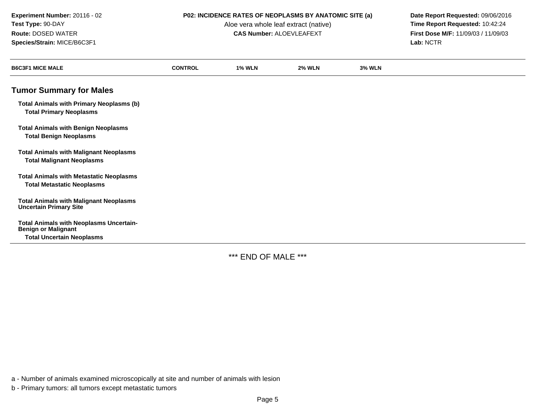Aloe vera whole leaf extract (native)<br>**CAS Number:** ALOEVLEAFEXT

**P02: INCIDENCE RATES OF NEOPLASMS BY ANATOMIC SITE (a)** Date Report Requested: 09/06/2016<br>Aloe vera whole leaf extract (native) **Time Report Requested:** 10:42:24 **First Dose M/F:** 11/09/03 / 11/09/03<br>Lab: NCTR **Lab:** NCTR

| <b>B6C3F1 MICE MALE</b>                                                                                          | <b>CONTROL</b> | <b>1% WLN</b> | <b>2% WLN</b> | <b>3% WLN</b> |
|------------------------------------------------------------------------------------------------------------------|----------------|---------------|---------------|---------------|
| <b>Tumor Summary for Males</b>                                                                                   |                |               |               |               |
| <b>Total Animals with Primary Neoplasms (b)</b><br><b>Total Primary Neoplasms</b>                                |                |               |               |               |
| <b>Total Animals with Benign Neoplasms</b><br><b>Total Benign Neoplasms</b>                                      |                |               |               |               |
| <b>Total Animals with Malignant Neoplasms</b><br><b>Total Malignant Neoplasms</b>                                |                |               |               |               |
| <b>Total Animals with Metastatic Neoplasms</b><br><b>Total Metastatic Neoplasms</b>                              |                |               |               |               |
| <b>Total Animals with Malignant Neoplasms</b><br><b>Uncertain Primary Site</b>                                   |                |               |               |               |
| <b>Total Animals with Neoplasms Uncertain-</b><br><b>Benign or Malignant</b><br><b>Total Uncertain Neoplasms</b> |                |               |               |               |

\*\*\* END OF MALE \*\*\*

a - Number of animals examined microscopically at site and number of animals with lesion

b - Primary tumors: all tumors except metastatic tumors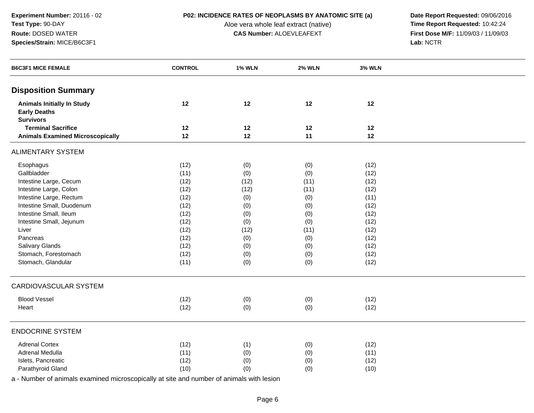Aloe vera whole leaf extract (native)<br>**CAS Number:** ALOEVLEAFEXT

**P02: INCIDENCE RATES OF NEOPLASMS BY ANATOMIC SITE (a)** Date Report Requested: 09/06/2016<br>Aloe vera whole leaf extract (native) **Time Report Requested:** 10:42:24 **First Dose M/F:** 11/09/03 / 11/09/03<br>Lab: NCTR **Lab:** NCTR

| <b>B6C3F1 MICE FEMALE</b>                                                    | <b>CONTROL</b> | <b>1% WLN</b> | <b>2% WLN</b> | <b>3% WLN</b> |  |
|------------------------------------------------------------------------------|----------------|---------------|---------------|---------------|--|
| <b>Disposition Summary</b>                                                   |                |               |               |               |  |
| <b>Animals Initially In Study</b><br><b>Early Deaths</b><br><b>Survivors</b> | 12             | 12            | 12            | 12            |  |
| <b>Terminal Sacrifice</b>                                                    | 12             | 12            | 12            | 12            |  |
| <b>Animals Examined Microscopically</b>                                      | 12             | 12            | 11            | 12            |  |
| <b>ALIMENTARY SYSTEM</b>                                                     |                |               |               |               |  |
| Esophagus                                                                    | (12)           | (0)           | (0)           | (12)          |  |
| Gallbladder                                                                  | (11)           | (0)           | (0)           | (12)          |  |
| Intestine Large, Cecum                                                       | (12)           | (12)          | (11)          | (12)          |  |
| Intestine Large, Colon                                                       | (12)           | (12)          | (11)          | (12)          |  |
| Intestine Large, Rectum                                                      | (12)           | (0)           | (0)           | (11)          |  |
| Intestine Small, Duodenum                                                    | (12)           | (0)           | (0)           | (12)          |  |
| Intestine Small, Ileum                                                       | (12)           | (0)           | (0)           | (12)          |  |
| Intestine Small, Jejunum                                                     | (12)           | (0)           | (0)           | (12)          |  |
| Liver                                                                        | (12)           | (12)          | (11)          | (12)          |  |
| Pancreas                                                                     | (12)           | (0)           | (0)           | (12)          |  |
| Salivary Glands                                                              | (12)           | (0)           | (0)           | (12)          |  |
| Stomach, Forestomach                                                         | (12)           | (0)           | (0)           | (12)          |  |
| Stomach, Glandular                                                           | (11)           | (0)           | (0)           | (12)          |  |
| <b>CARDIOVASCULAR SYSTEM</b>                                                 |                |               |               |               |  |
| <b>Blood Vessel</b>                                                          | (12)           | (0)           | (0)           | (12)          |  |
| Heart                                                                        | (12)           | (0)           | (0)           | (12)          |  |
| <b>ENDOCRINE SYSTEM</b>                                                      |                |               |               |               |  |
| <b>Adrenal Cortex</b>                                                        | (12)           | (1)           | (0)           | (12)          |  |
| Adrenal Medulla                                                              | (11)           | (0)           | (0)           | (11)          |  |
| Islets, Pancreatic                                                           | (12)           | (0)           | (0)           | (12)          |  |
| Parathyroid Gland                                                            | (10)           | (0)           | (0)           | (10)          |  |
|                                                                              |                |               |               |               |  |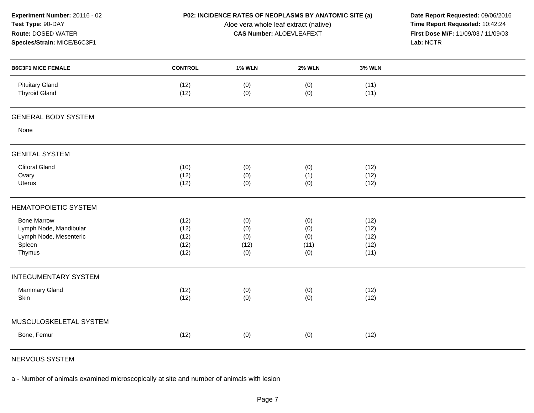| Experiment Number: 20116 - 02<br>Test Type: 90-DAY<br>Route: DOSED WATER<br>Species/Strain: MICE/B6C3F1 |                |               | P02: INCIDENCE RATES OF NEOPLASMS BY ANATOMIC SITE (a)<br>Aloe vera whole leaf extract (native)<br><b>CAS Number: ALOEVLEAFEXT</b> |               | Date Report Requested: 09/06/2016<br>Time Report Requested: 10:42:24<br>First Dose M/F: 11/09/03 / 11/09/03<br>Lab: NCTR |
|---------------------------------------------------------------------------------------------------------|----------------|---------------|------------------------------------------------------------------------------------------------------------------------------------|---------------|--------------------------------------------------------------------------------------------------------------------------|
| <b>B6C3F1 MICE FEMALE</b>                                                                               | <b>CONTROL</b> | <b>1% WLN</b> | <b>2% WLN</b>                                                                                                                      | <b>3% WLN</b> |                                                                                                                          |
| <b>Pituitary Gland</b><br><b>Thyroid Gland</b>                                                          | (12)<br>(12)   | (0)<br>(0)    | (0)<br>(0)                                                                                                                         | (11)<br>(11)  |                                                                                                                          |
| <b>GENERAL BODY SYSTEM</b>                                                                              |                |               |                                                                                                                                    |               |                                                                                                                          |
| None                                                                                                    |                |               |                                                                                                                                    |               |                                                                                                                          |
| <b>GENITAL SYSTEM</b>                                                                                   |                |               |                                                                                                                                    |               |                                                                                                                          |
| <b>Clitoral Gland</b>                                                                                   | (10)           | (0)           | (0)                                                                                                                                | (12)          |                                                                                                                          |
| Ovary                                                                                                   | (12)           | (0)           | (1)                                                                                                                                | (12)          |                                                                                                                          |
| <b>Uterus</b>                                                                                           | (12)           | (0)           | (0)                                                                                                                                | (12)          |                                                                                                                          |
| <b>HEMATOPOIETIC SYSTEM</b>                                                                             |                |               |                                                                                                                                    |               |                                                                                                                          |
| <b>Bone Marrow</b>                                                                                      | (12)           | (0)           | (0)                                                                                                                                | (12)          |                                                                                                                          |
| Lymph Node, Mandibular                                                                                  | (12)           | (0)           | (0)                                                                                                                                | (12)          |                                                                                                                          |
| Lymph Node, Mesenteric                                                                                  | (12)           | (0)           | (0)                                                                                                                                | (12)          |                                                                                                                          |
| Spleen                                                                                                  | (12)           | (12)          | (11)                                                                                                                               | (12)          |                                                                                                                          |
| Thymus                                                                                                  | (12)           | (0)           | (0)                                                                                                                                | (11)          |                                                                                                                          |
| <b>INTEGUMENTARY SYSTEM</b>                                                                             |                |               |                                                                                                                                    |               |                                                                                                                          |
| <b>Mammary Gland</b>                                                                                    | (12)           | (0)           | (0)                                                                                                                                | (12)          |                                                                                                                          |
| Skin                                                                                                    | (12)           | (0)           | (0)                                                                                                                                | (12)          |                                                                                                                          |
| MUSCULOSKELETAL SYSTEM                                                                                  |                |               |                                                                                                                                    |               |                                                                                                                          |
| Bone, Femur                                                                                             | (12)           | (0)           | (0)                                                                                                                                | (12)          |                                                                                                                          |
|                                                                                                         |                |               |                                                                                                                                    |               |                                                                                                                          |

NERVOUS SYSTEM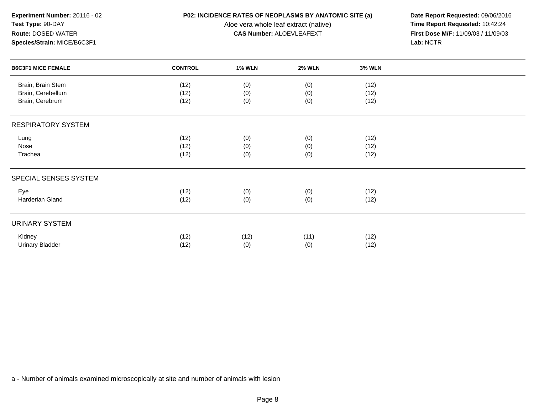Aloe vera whole leaf extract (native)<br>**CAS Number:** ALOEVLEAFEXT

**P02: INCIDENCE RATES OF NEOPLASMS BY ANATOMIC SITE (a)** Date Report Requested: 09/06/2016<br>Aloe vera whole leaf extract (native) **Time Report Requested:** 10:42:24 **First Dose M/F:** 11/09/03 / 11/09/03<br>Lab: NCTR **Lab:** NCTR

| <b>B6C3F1 MICE FEMALE</b> | <b>CONTROL</b> | <b>1% WLN</b> | <b>2% WLN</b> | <b>3% WLN</b> |  |
|---------------------------|----------------|---------------|---------------|---------------|--|
| Brain, Brain Stem         | (12)           | (0)           | (0)           | (12)          |  |
| Brain, Cerebellum         | (12)           | (0)           | (0)           | (12)          |  |
| Brain, Cerebrum           | (12)           | (0)           | (0)           | (12)          |  |
| <b>RESPIRATORY SYSTEM</b> |                |               |               |               |  |
| Lung                      | (12)           | (0)           | (0)           | (12)          |  |
| Nose                      | (12)           | (0)           | (0)           | (12)          |  |
| Trachea                   | (12)           | (0)           | (0)           | (12)          |  |
| SPECIAL SENSES SYSTEM     |                |               |               |               |  |
| Eye                       | (12)           | (0)           | (0)           | (12)          |  |
| Harderian Gland           | (12)           | (0)           | (0)           | (12)          |  |
| URINARY SYSTEM            |                |               |               |               |  |
| Kidney                    | (12)           | (12)          | (11)          | (12)          |  |
| <b>Urinary Bladder</b>    | (12)           | (0)           | (0)           | (12)          |  |
|                           |                |               |               |               |  |